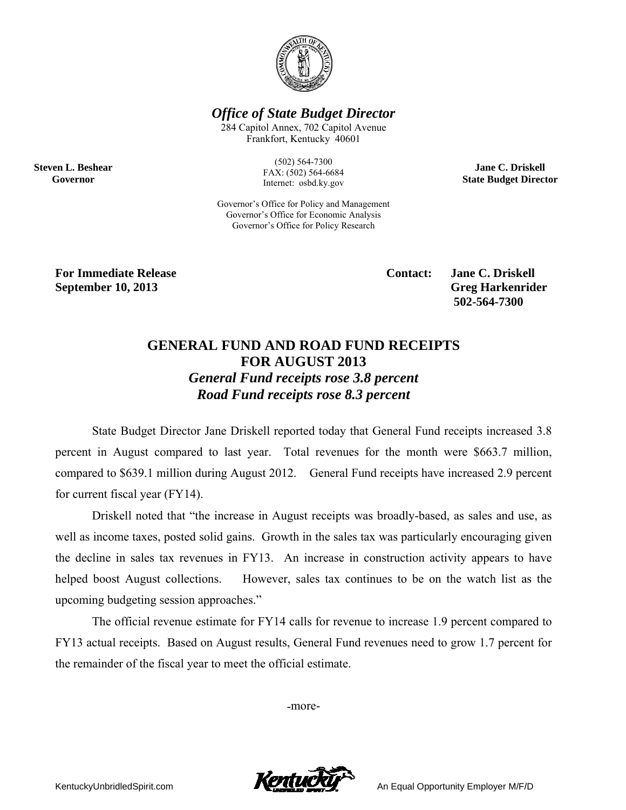

**Office of State Budget Director** 

284 Capitol Annex, 702 Capitol Avenue Frankfort, Kentucky 40601

> $(502) 564 - 7300$ FAX: (502) 564-6684 Internet: osbd.ky.gov

Governor's Office for Policy and Management Governor's Office for Economic Analysis Governor's Office for Policy Research

**Jane C. Driskell State Budget Director** 

**For Immediate Release September 10, 2013** 

**Steven L. Beshear** 

Governor

**Contact:** 

**Jane C. Driskell Greg Harkenrider** 502-564-7300

## **GENERAL FUND AND ROAD FUND RECEIPTS FOR AUGUST 2013 General Fund receipts rose 3.8 percent** Road Fund receipts rose 8.3 percent

State Budget Director Jane Driskell reported today that General Fund receipts increased 3.8 percent in August compared to last year. Total revenues for the month were \$663.7 million, compared to \$639.1 million during August 2012. General Fund receipts have increased 2.9 percent for current fiscal year (FY14).

Driskell noted that "the increase in August receipts was broadly-based, as sales and use, as well as income taxes, posted solid gains. Growth in the sales tax was particularly encouraging given the decline in sales tax revenues in FY13. An increase in construction activity appears to have helped boost August collections. However, sales tax continues to be on the watch list as the upcoming budgeting session approaches."

The official revenue estimate for FY14 calls for revenue to increase 1.9 percent compared to FY13 actual receipts. Based on August results, General Fund revenues need to grow 1.7 percent for the remainder of the fiscal year to meet the official estimate.

-more-



An Equal Opportunity Employer M/F/D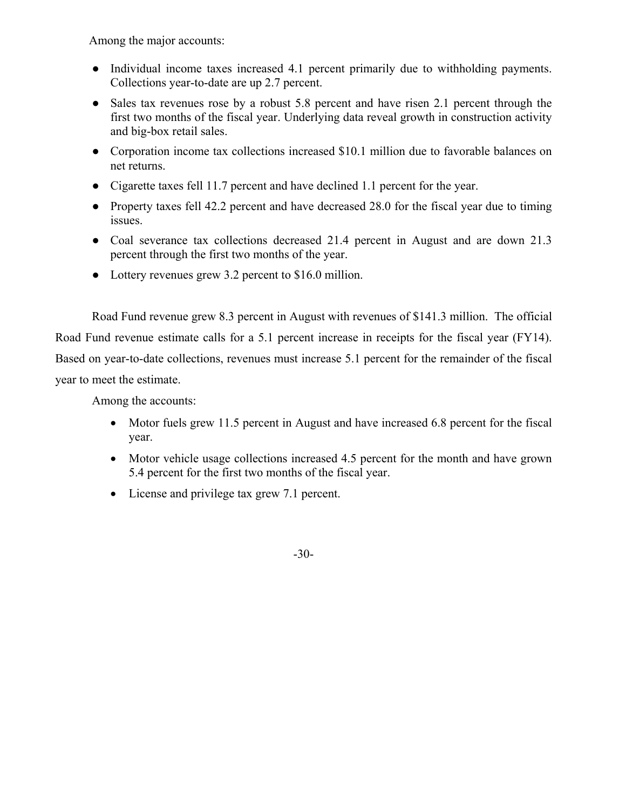Among the major accounts:

- Individual income taxes increased 4.1 percent primarily due to withholding payments. Collections year-to-date are up 2.7 percent.
- Sales tax revenues rose by a robust 5.8 percent and have risen 2.1 percent through the first two months of the fiscal year. Underlying data reveal growth in construction activity and big-box retail sales.
- Corporation income tax collections increased \$10.1 million due to favorable balances on net returns.
- Cigarette taxes fell 11.7 percent and have declined 1.1 percent for the year.
- Property taxes fell 42.2 percent and have decreased 28.0 for the fiscal year due to timing issues.
- Coal severance tax collections decreased 21.4 percent in August and are down 21.3 percent through the first two months of the year.
- Lottery revenues grew 3.2 percent to \$16.0 million.

Road Fund revenue grew 8.3 percent in August with revenues of \$141.3 million. The official Road Fund revenue estimate calls for a 5.1 percent increase in receipts for the fiscal year (FY14). Based on year-to-date collections, revenues must increase 5.1 percent for the remainder of the fiscal year to meet the estimate.

Among the accounts:

- Motor fuels grew 11.5 percent in August and have increased 6.8 percent for the fiscal year.
- Motor vehicle usage collections increased 4.5 percent for the month and have grown 5.4 percent for the first two months of the fiscal year.
- License and privilege tax grew 7.1 percent.

-30-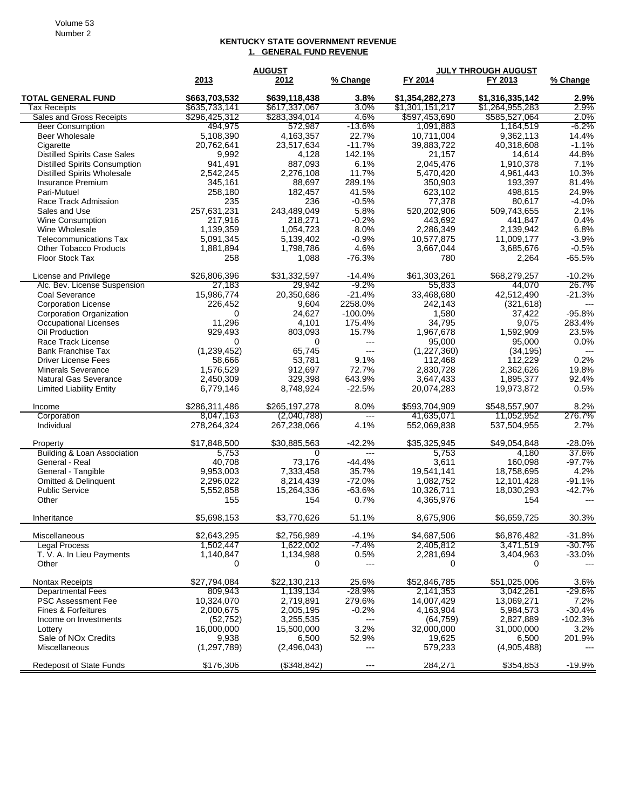## **KENTUCKY STATE GOVERNMENT REVENUE 1. GENERAL FUND REVENUE**

|                                        |               | <b>AUGUST</b> |                       | <b>JULY THROUGH AUGUST</b> |                 |           |
|----------------------------------------|---------------|---------------|-----------------------|----------------------------|-----------------|-----------|
|                                        | 2013          | 2012          | % Change              | FY 2014                    | FY 2013         | % Change  |
| <b>TOTAL GENERAL FUND</b>              | \$663,703,532 | \$639,118,438 | 3.8%                  | \$1.354.282.273            | \$1,316,335,142 | $2.9\%$   |
| Tax Receipts                           | \$635,733,141 | \$617,337,067 | 3.0%                  | \$1,301,151,217            | \$1,264,955,283 | 2.9%      |
| Sales and Gross Receipts               | \$296,425,312 | \$283,394,014 | 4.6%                  | \$597,453,690              | \$585,527,064   | 2.0%      |
| <b>Beer Consumption</b>                | 494,975       | 572,987       | $-13.6\%$             | 1,091,883                  | 1,164,519       | -6.2%     |
| <b>Beer Wholesale</b>                  | 5,108,390     | 4,163,357     | 22.7%                 | 10.711.004                 | 9,362,113       | 14.4%     |
| Cigarette                              | 20,762,641    | 23,517,634    | $-11.7%$              | 39,883,722                 | 40,318,608      | $-1.1%$   |
| <b>Distilled Spirits Case Sales</b>    | 9,992         | 4,128         | 142.1%                | 21,157                     | 14,614          | 44.8%     |
| <b>Distilled Spirits Consumption</b>   | 941,491       | 887,093       | 6.1%                  | 2,045,476                  | 1,910,378       | 7.1%      |
| <b>Distilled Spirits Wholesale</b>     | 2,542,245     | 2,276,108     | 11.7%                 | 5,470,420                  | 4,961,443       | 10.3%     |
| <b>Insurance Premium</b>               | 345,161       | 88,697        | 289.1%                | 350,903                    | 193,397         | 81.4%     |
| Pari-Mutuel                            | 258,180       | 182,457       | 41.5%                 | 623,102                    | 498,815         | 24.9%     |
| Race Track Admission                   | 235           | 236           | $-0.5%$               | 77,378                     | 80,617          | $-4.0%$   |
| Sales and Use                          | 257,631,231   | 243,489,049   | 5.8%                  | 520,202,906                | 509,743,655     | 2.1%      |
| Wine Consumption                       | 217,916       | 218,271       | $-0.2%$               | 443,692                    | 441,847         | 0.4%      |
| Wine Wholesale                         | 1,139,359     | 1,054,723     | 8.0%                  | 2,286,349                  | 2,139,942       | 6.8%      |
| <b>Telecommunications Tax</b>          | 5,091,345     | 5,139,402     | $-0.9%$               | 10,577,875                 | 11,009,177      | $-3.9%$   |
| <b>Other Tobacco Products</b>          | 1,881,894     | 1,798,786     | 4.6%                  | 3,667,044                  | 3,685,676       | $-0.5%$   |
| <b>Floor Stock Tax</b>                 | 258           | 1,088         | -76.3%                | 780                        | 2,264           | $-65.5%$  |
| License and Privilege                  | \$26,806,396  | \$31,332,597  | $-14.4%$              | \$61,303,261               | \$68,279,257    | $-10.2%$  |
| Alc. Bev. License Suspension           | 27,183        | 29,942        | $-9.2%$               | 55,833                     | 44,070          | 26.7%     |
| Coal Severance                         | 15,986,774    | 20,350,686    | $-21.4%$              | 33,468,680                 | 42,512,490      | $-21.3%$  |
| <b>Corporation License</b>             | 226,452       | 9,604         | 2258.0%               | 242,143                    | (321, 618)      | ---       |
| Corporation Organization               | 0             | 24,627        | $-100.0\%$            | 1,580                      | 37,422          | $-95.8%$  |
| Occupational Licenses                  | 11,296        | 4,101         | 175.4%                | 34,795                     | 9,075           | 283.4%    |
| Oil Production                         | 929,493       | 803,093       | 15.7%                 | 1,967,678                  | 1,592,909       | 23.5%     |
| Race Track License                     | 0             | 0             | $---$                 | 95,000                     | 95,000          | 0.0%      |
| <b>Bank Franchise Tax</b>              | (1,239,452)   | 65.745        | $---$                 | (1,227,360)                | (34, 195)       |           |
| <b>Driver License Fees</b>             | 58,666        | 53,781        | 9.1%                  | 112,468                    | 112,229         | 0.2%      |
| <b>Minerals Severance</b>              | 1,576,529     | 912,697       | 72.7%                 | 2,830,728                  | 2,362,626       | 19.8%     |
| <b>Natural Gas Severance</b>           | 2,450,309     | 329,398       | 643.9%                | 3,647,433                  | 1,895,377       | 92.4%     |
| <b>Limited Liability Entity</b>        | 6,779,146     | 8,748,924     | $-22.5%$              | 20,074,283                 | 19,973,872      | 0.5%      |
|                                        |               |               |                       |                            |                 |           |
| Income                                 | \$286,311,486 | \$265,197,278 | 8.0%                  | \$593,704,909              | \$548,557,907   | 8.2%      |
| Corporation                            | 8,047,163     | (2,040,788)   | H                     | 41,635,071                 | 11,052,952      | 276.7%    |
| Individual                             | 278,264,324   | 267,238,066   | 4.1%                  | 552,069,838                | 537,504,955     | 2.7%      |
| Property                               | \$17,848,500  | \$30,885,563  | $-42.2%$              | \$35,325,945               | \$49,054,848    | $-28.0%$  |
| <b>Building &amp; Loan Association</b> | 5,753         | 0             | $---$                 | 5,753                      | 4,180           | 37.6%     |
| General - Real                         | 40,708        | 73.176        | $-44.4%$              | 3,611                      | 160,098         | $-97.7%$  |
| General - Tangible                     | 9,953,003     | 7,333,458     | 35.7%                 | 19,541,141                 | 18,758,695      | 4.2%      |
| <b>Omitted &amp; Delinquent</b>        | 2,296,022     | 8,214,439     | $-72.0%$              | 1,082,752                  | 12,101,428      | $-91.1%$  |
| <b>Public Service</b>                  | 5,552,858     | 15,264,336    | $-63.6%$              | 10,326,711                 | 18,030,293      | $-42.7%$  |
| Other                                  | 155           | 154           | 0.7%                  | 4,365,976                  | 154             |           |
| Inheritance                            | \$5,698,153   | \$3,770,626   | 51.1%                 | 8.675.906                  | \$6,659,725     | 30.3%     |
| Miscellaneous                          | \$2,643,295   | \$2,756,989   | $-4.1%$               | \$4,687,506                | \$6,876,482     | $-31.8%$  |
| <b>Legal Process</b>                   | 1,502,447     | 1,622,002     | -7.4%                 | 2,405,812                  | 3,471,519       | $-30.7%$  |
| T. V. A. In Lieu Payments              | 1,140,847     | 1,134,988     | 0.5%                  | 2,281,694                  | 3,404,963       | $-33.0%$  |
| Other                                  | 0             | 0             | $---$                 | 0                          | 0               |           |
| Nontax Receipts                        | \$27,794,084  | \$22,130,213  | 25.6%                 | \$52,846,785               | \$51,025,006    | 3.6%      |
| <b>Departmental Fees</b>               | 809,943       | 1,139,134     | $-28.9%$              | 2,141,353                  | 3,042,261       | $-29.6%$  |
| <b>PSC Assessment Fee</b>              | 10,324,070    | 2,719,891     | 279.6%                | 14,007,429                 | 13,069,271      | 7.2%      |
| Fines & Forfeitures                    | 2,000,675     | 2,005,195     | $-0.2%$               | 4,163,904                  | 5,984,573       | $-30.4%$  |
| Income on Investments                  | (52, 752)     | 3,255,535     | ---                   | (64, 759)                  | 2,827,889       | $-102.3%$ |
| Lottery                                | 16,000,000    | 15,500,000    | 3.2%                  | 32,000,000                 | 31,000,000      | 3.2%      |
| Sale of NO <sub>x</sub> Credits        | 9,938         | 6,500         | 52.9%                 | 19,625                     | 6,500           | 201.9%    |
| Miscellaneous                          | (1, 297, 789) | (2,496,043)   | ---                   | 579,233                    | (4,905,488)     |           |
|                                        |               |               |                       |                            |                 |           |
| <b>Redeposit of State Funds</b>        | \$176,306     | (\$348,842)   | $\scriptstyle \cdots$ | 284,271                    | \$354,853       | $-19.9%$  |